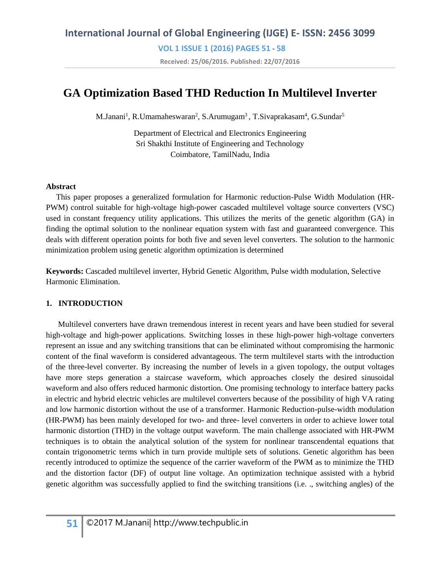**VOL 1 ISSUE 1 (2016) PAGES 51** - **58 Received: 25/06/2016. Published: 22/07/2016**

# **GA Optimization Based THD Reduction In Multilevel Inverter**

M.Janani<sup>1</sup>, R.Umamaheswaran<sup>2</sup>, S.Arumugam<sup>3</sup>, T.Sivaprakasam<sup>4</sup>, G.Sundar<sup>5</sup>

Department of Electrical and Electronics Engineering Sri Shakthi Institute of Engineering and Technology Coimbatore, TamilNadu, India

#### **Abstract**

 This paper proposes a generalized formulation for Harmonic reduction-Pulse Width Modulation (HR-PWM) control suitable for high-voltage high-power cascaded multilevel voltage source converters (VSC) used in constant frequency utility applications. This utilizes the merits of the genetic algorithm (GA) in finding the optimal solution to the nonlinear equation system with fast and guaranteed convergence. This deals with different operation points for both five and seven level converters. The solution to the harmonic minimization problem using genetic algorithm optimization is determined

**Keywords:** Cascaded multilevel inverter, Hybrid Genetic Algorithm, Pulse width modulation, Selective Harmonic Elimination.

#### **1. INTRODUCTION**

 Multilevel converters have drawn tremendous interest in recent years and have been studied for several high-voltage and high-power applications. Switching losses in these high-power high-voltage converters represent an issue and any switching transitions that can be eliminated without compromising the harmonic content of the final waveform is considered advantageous. The term multilevel starts with the introduction of the three-level converter. By increasing the number of levels in a given topology, the output voltages have more steps generation a staircase waveform, which approaches closely the desired sinusoidal waveform and also offers reduced harmonic distortion. One promising technology to interface battery packs in electric and hybrid electric vehicles are multilevel converters because of the possibility of high VA rating and low harmonic distortion without the use of a transformer. Harmonic Reduction-pulse-width modulation (HR-PWM) has been mainly developed for two- and three- level converters in order to achieve lower total harmonic distortion (THD) in the voltage output waveform. The main challenge associated with HR-PWM techniques is to obtain the analytical solution of the system for nonlinear transcendental equations that contain trigonometric terms which in turn provide multiple sets of solutions. Genetic algorithm has been recently introduced to optimize the sequence of the carrier waveform of the PWM as to minimize the THD and the distortion factor (DF) of output line voltage. An optimization technique assisted with a hybrid genetic algorithm was successfully applied to find the switching transitions (i.e. ., switching angles) of the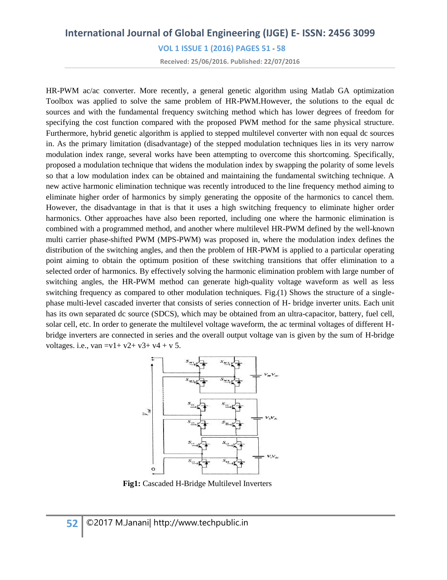**VOL 1 ISSUE 1 (2016) PAGES 51** - **58**

**Received: 25/06/2016. Published: 22/07/2016**

HR-PWM ac/ac converter. More recently, a general genetic algorithm using Matlab GA optimization Toolbox was applied to solve the same problem of HR-PWM.However, the solutions to the equal dc sources and with the fundamental frequency switching method which has lower degrees of freedom for specifying the cost function compared with the proposed PWM method for the same physical structure. Furthermore, hybrid genetic algorithm is applied to stepped multilevel converter with non equal dc sources in. As the primary limitation (disadvantage) of the stepped modulation techniques lies in its very narrow modulation index range, several works have been attempting to overcome this shortcoming. Specifically, proposed a modulation technique that widens the modulation index by swapping the polarity of some levels so that a low modulation index can be obtained and maintaining the fundamental switching technique. A new active harmonic elimination technique was recently introduced to the line frequency method aiming to eliminate higher order of harmonics by simply generating the opposite of the harmonics to cancel them. However, the disadvantage in that is that it uses a high switching frequency to eliminate higher order harmonics. Other approaches have also been reported, including one where the harmonic elimination is combined with a programmed method, and another where multilevel HR-PWM defined by the well-known multi carrier phase-shifted PWM (MPS-PWM) was proposed in, where the modulation index defines the distribution of the switching angles, and then the problem of HR-PWM is applied to a particular operating point aiming to obtain the optimum position of these switching transitions that offer elimination to a selected order of harmonics. By effectively solving the harmonic elimination problem with large number of switching angles, the HR-PWM method can generate high-quality voltage waveform as well as less switching frequency as compared to other modulation techniques. Fig.(1) Shows the structure of a singlephase multi-level cascaded inverter that consists of series connection of H- bridge inverter units. Each unit has its own separated dc source (SDCS), which may be obtained from an ultra-capacitor, battery, fuel cell, solar cell, etc. In order to generate the multilevel voltage waveform, the ac terminal voltages of different Hbridge inverters are connected in series and the overall output voltage van is given by the sum of H-bridge voltages. i.e., van =v1+ v2+ v3+ v4 + v 5.



 **Fig1:** Cascaded H-Bridge Multilevel Inverters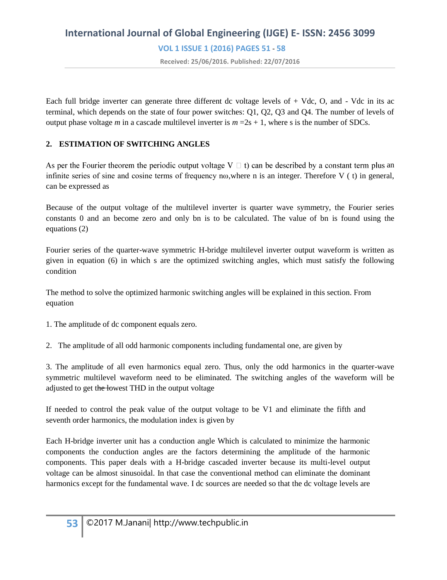# **International Journal of Global Engineering (IJGE) E- ISSN: 2456 3099 VOL 1 ISSUE 1 (2016) PAGES 51** - **58 Received: 25/06/2016. Published: 22/07/2016**

Each full bridge inverter can generate three different dc voltage levels of  $+$  Vdc, O, and  $-$  Vdc in its ac terminal, which depends on the state of four power switches: Q1, Q2, Q3 and Q4. The number of levels of output phase voltage *m* in a cascade multilevel inverter is  $m = 2s + 1$ , where s is the number of SDCs.

### **2. ESTIMATION OF SWITCHING ANGLES**

As per the Fourier theorem the periodic output voltage  $V \square$  t) can be described by a constant term plus an infinite series of sine and cosine terms of frequency n $\omega$ , where n is an integer. Therefore V (t) in general, can be expressed as

Because of the output voltage of the multilevel inverter is quarter wave symmetry, the Fourier series constants 0 and an become zero and only bn is to be calculated. The value of bn is found using the equations (2)

Fourier series of the quarter-wave symmetric H-bridge multilevel inverter output waveform is written as given in equation (6) in which s are the optimized switching angles, which must satisfy the following condition

The method to solve the optimized harmonic switching angles will be explained in this section. From equation

1. The amplitude of dc component equals zero.

2. The amplitude of all odd harmonic components including fundamental one, are given by

3. The amplitude of all even harmonics equal zero. Thus, only the odd harmonics in the quarter-wave symmetric multilevel waveform need to be eliminated. The switching angles of the waveform will be adjusted to get the lowest THD in the output voltage

If needed to control the peak value of the output voltage to be V1 and eliminate the fifth and seventh order harmonics, the modulation index is given by

Each H-bridge inverter unit has a conduction angle Which is calculated to minimize the harmonic components the conduction angles are the factors determining the amplitude of the harmonic components. This paper deals with a H-bridge cascaded inverter because its multi-level output voltage can be almost sinusoidal. In that case the conventional method can eliminate the dominant harmonics except for the fundamental wave. I dc sources are needed so that the dc voltage levels are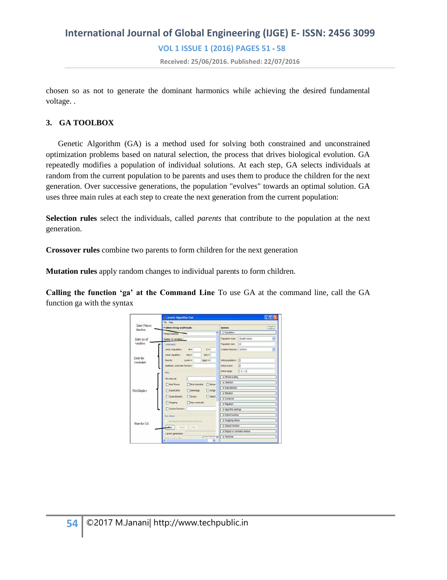# **International Journal of Global Engineering (IJGE) E- ISSN: 2456 3099 VOL 1 ISSUE 1 (2016) PAGES 51** - **58 Received: 25/06/2016. Published: 22/07/2016**

chosen so as not to generate the dominant harmonics while achieving the desired fundamental voltage. .

### **3. GA TOOLBOX**

 Genetic Algorithm (GA) is a method used for solving both constrained and unconstrained optimization problems based on natural selection, the process that drives biological evolution. GA repeatedly modifies a population of individual solutions. At each step, GA selects individuals at random from the current population to be parents and uses them to produce the children for the next generation. Over successive generations, the population "evolves" towards an optimal solution. GA uses three main rules at each step to create the next generation from the current population:

**Selection rules** select the individuals, called *parents* that contribute to the population at the next generation.

**Crossover rules** combine two parents to form children for the next generation

**Mutation rules** apply random changes to individual parents to form children.

**Calling the function 'ga' at the Command Line** To use GA at the command line, call the GA function ga with the syntax

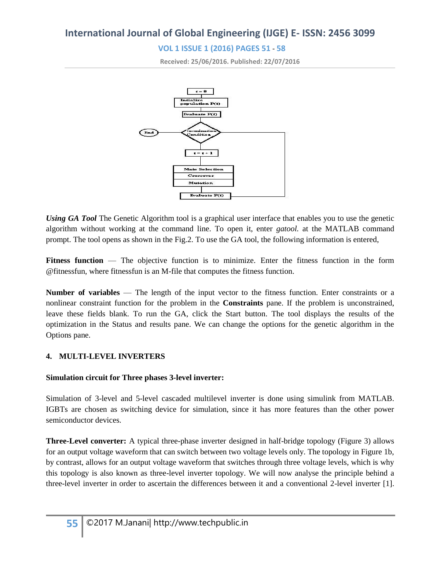### **VOL 1 ISSUE 1 (2016) PAGES 51** - **58**

**Received: 25/06/2016. Published: 22/07/2016**



*Using GA Tool* The Genetic Algorithm tool is a graphical user interface that enables you to use the genetic algorithm without working at the command line. To open it, enter *gatool.* at the MATLAB command prompt. The tool opens as shown in the Fig.2. To use the GA tool, the following information is entered,

**Fitness function** — The objective function is to minimize. Enter the fitness function in the form @fitnessfun, where fitnessfun is an M-file that computes the fitness function.

**Number of variables** — The length of the input vector to the fitness function. Enter constraints or a nonlinear constraint function for the problem in the **Constraints** pane. If the problem is unconstrained, leave these fields blank. To run the GA, click the Start button. The tool displays the results of the optimization in the Status and results pane. We can change the options for the genetic algorithm in the Options pane.

### **4. MULTI-LEVEL INVERTERS**

### **Simulation circuit for Three phases 3-level inverter:**

Simulation of 3-level and 5-level cascaded multilevel inverter is done using simulink from MATLAB. IGBTs are chosen as switching device for simulation, since it has more features than the other power semiconductor devices.

**Three-Level converter:** A typical three-phase inverter designed in half-bridge topology (Figure 3) allows for an output voltage waveform that can switch between two voltage levels only. The topology in Figure 1b, by contrast, allows for an output voltage waveform that switches through three voltage levels, which is why this topology is also known as three-level inverter topology. We will now analyse the principle behind a three-level inverter in order to ascertain the differences between it and a conventional 2-level inverter [1].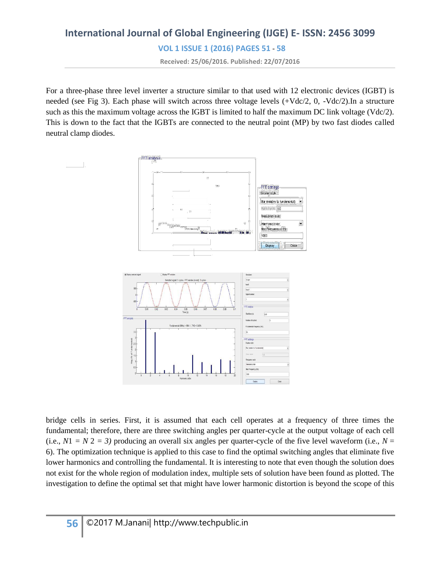**VOL 1 ISSUE 1 (2016) PAGES 51** - **58**

**Received: 25/06/2016. Published: 22/07/2016**

For a three-phase three level inverter a structure similar to that used with 12 electronic devices (IGBT) is needed (see Fig 3). Each phase will switch across three voltage levels (+Vdc/2, 0, -Vdc/2).In a structure such as this the maximum voltage across the IGBT is limited to half the maximum DC link voltage (Vdc/2). This is down to the fact that the IGBTs are connected to the neutral point (MP) by two fast diodes called neutral clamp diodes.



bridge cells in series. First, it is assumed that each cell operates at a frequency of three times the fundamental; therefore, there are three switching angles per quarter-cycle at the output voltage of each cell (i.e.,  $N1 = N2 = 3$ ) producing an overall six angles per quarter-cycle of the five level waveform (i.e.,  $N =$ 6). The optimization technique is applied to this case to find the optimal switching angles that eliminate five lower harmonics and controlling the fundamental. It is interesting to note that even though the solution does not exist for the whole region of modulation index, multiple sets of solution have been found as plotted. The investigation to define the optimal set that might have lower harmonic distortion is beyond the scope of this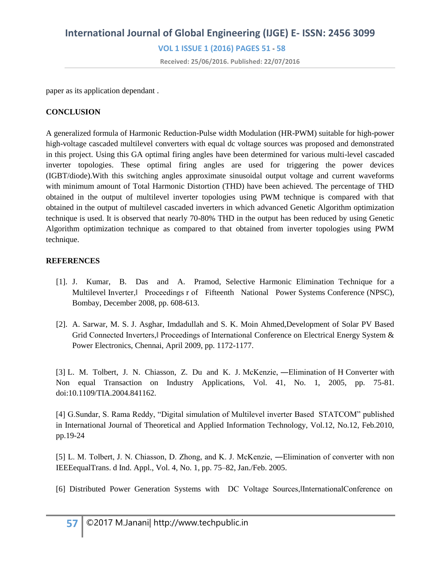# **International Journal of Global Engineering (IJGE) E- ISSN: 2456 3099 VOL 1 ISSUE 1 (2016) PAGES 51** - **58**

**Received: 25/06/2016. Published: 22/07/2016**

paper as its application dependant .

### **CONCLUSION**

A generalized formula of Harmonic Reduction-Pulse width Modulation (HR-PWM) suitable for high-power high-voltage cascaded multilevel converters with equal dc voltage sources was proposed and demonstrated in this project. Using this GA optimal firing angles have been determined for various multi-level cascaded inverter topologies. These optimal firing angles are used for triggering the power devices (IGBT/diode).With this switching angles approximate sinusoidal output voltage and current waveforms with minimum amount of Total Harmonic Distortion (THD) have been achieved. The percentage of THD obtained in the output of multilevel inverter topologies using PWM technique is compared with that obtained in the output of multilevel cascaded inverters in which advanced Genetic Algorithm optimization technique is used. It is observed that nearly 70-80% THD in the output has been reduced by using Genetic Algorithm optimization technique as compared to that obtained from inverter topologies using PWM technique.

### **REFERENCES**

- [1]. J. Kumar, B. Das and A. Pramod, Selective Harmonic Elimination Technique for a Multilevel Inverter,‖ Proceedings r of Fifteenth National Power Systems Conference (NPSC), Bombay, December 2008, pp. 608-613.
- [2]. A. Sarwar, M. S. J. Asghar, Imdadullah and S. K. Moin Ahmed,Development of Solar PV Based Grid Connected Inverters, Proceedings of International Conference on Electrical Energy System & Power Electronics, Chennai, April 2009, pp. 1172-1177.

[3] L. M. Tolbert, J. N. Chiasson, Z. Du and K. J. McKenzie, -Elimination of H Converter with Non equal Transaction on Industry Applications, Vol. 41, No. 1, 2005, pp. 75-81. doi:10.1109/TIA.2004.841162.

[4] G.Sundar, S. Rama Reddy, "Digital simulation of Multilevel inverter Based STATCOM" published in International Journal of Theoretical and Applied Information Technology, Vol.12, No.12, Feb.2010, pp.19-24

[5] L. M. Tolbert, J. N. Chiasson, D. Zhong, and K. J. McKenzie, ―Elimination of converter with non IEEEequalTrans. d Ind. Appl., Vol. 4, No. 1, pp. 75–82, Jan./Feb. 2005.

[6] Distributed Power Generation Systems with DC Voltage Sources, InternationalConference on